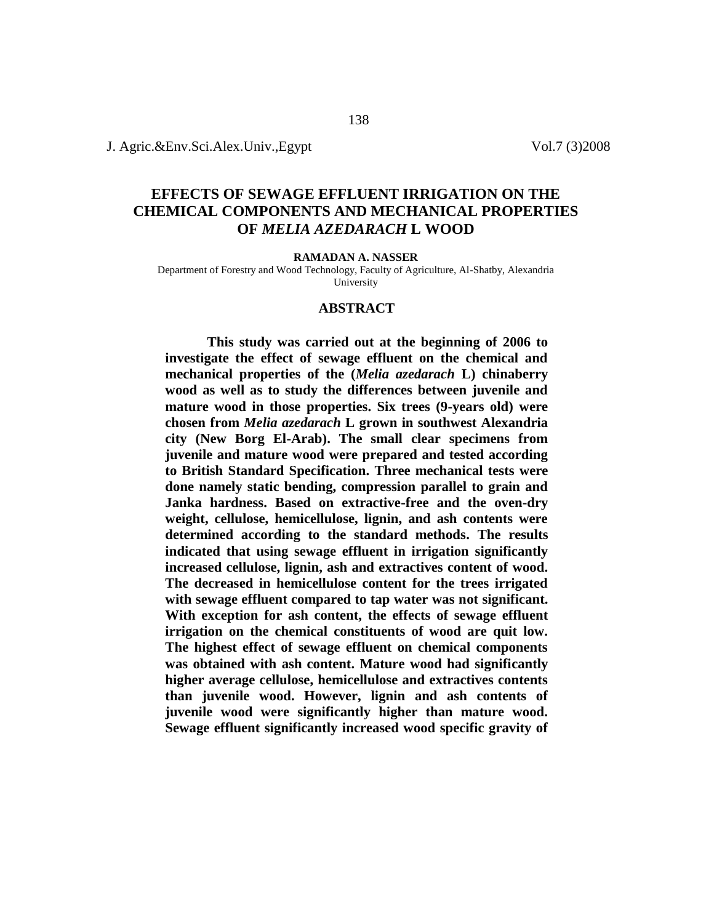## **EFFECTS OF SEWAGE EFFLUENT IRRIGATION ON THE CHEMICAL COMPONENTS AND MECHANICAL PROPERTIES OF** *MELIA AZEDARACH* **L WOOD**

**RAMADAN A. NASSER**

Department of Forestry and Wood Technology, Faculty of Agriculture, Al-Shatby, Alexandria University

### **ABSTRACT**

**This study was carried out at the beginning of 2006 to investigate the effect of sewage effluent on the chemical and mechanical properties of the (***Melia azedarach* **L) chinaberry wood as well as to study the differences between juvenile and mature wood in those properties. Six trees (9-years old) were chosen from** *Melia azedarach* **L grown in southwest Alexandria city (New Borg El-Arab). The small clear specimens from juvenile and mature wood were prepared and tested according to British Standard Specification. Three mechanical tests were done namely static bending, compression parallel to grain and Janka hardness. Based on extractive-free and the oven-dry weight, cellulose, hemicellulose, lignin, and ash contents were determined according to the standard methods. The results indicated that using sewage effluent in irrigation significantly increased cellulose, lignin, ash and extractives content of wood. The decreased in hemicellulose content for the trees irrigated with sewage effluent compared to tap water was not significant. With exception for ash content, the effects of sewage effluent irrigation on the chemical constituents of wood are quit low. The highest effect of sewage effluent on chemical components was obtained with ash content. Mature wood had significantly higher average cellulose, hemicellulose and extractives contents than juvenile wood. However, lignin and ash contents of juvenile wood were significantly higher than mature wood. Sewage effluent significantly increased wood specific gravity of**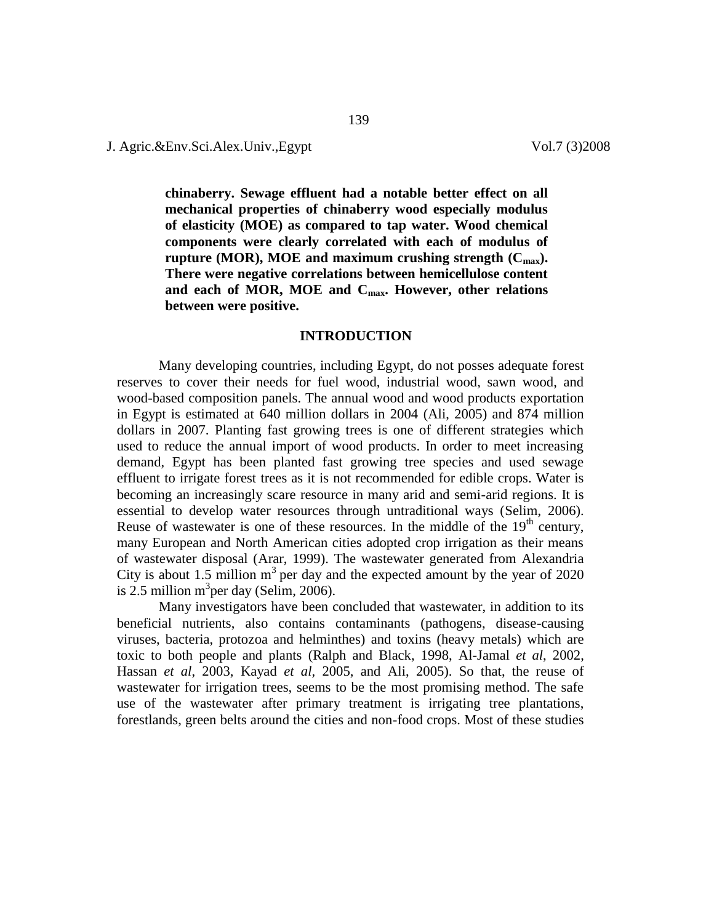**chinaberry. Sewage effluent had a notable better effect on all mechanical properties of chinaberry wood especially modulus of elasticity (MOE) as compared to tap water. Wood chemical components were clearly correlated with each of modulus of**  rupture (MOR), MOE and maximum crushing strength ( $C_{\text{max}}$ ). **There were negative correlations between hemicellulose content and each of MOR, MOE and Cmax. However, other relations between were positive.**

#### **INTRODUCTION**

Many developing countries, including Egypt, do not posses adequate forest reserves to cover their needs for fuel wood, industrial wood, sawn wood, and wood-based composition panels. The annual wood and wood products exportation in Egypt is estimated at 640 million dollars in 2004 (Ali, 2005) and 874 million dollars in 2007. Planting fast growing trees is one of different strategies which used to reduce the annual import of wood products. In order to meet increasing demand, Egypt has been planted fast growing tree species and used sewage effluent to irrigate forest trees as it is not recommended for edible crops. Water is becoming an increasingly scare resource in many arid and semi-arid regions. It is essential to develop water resources through untraditional ways (Selim, 2006). Reuse of wastewater is one of these resources. In the middle of the  $19<sup>th</sup>$  century, many European and North American cities adopted crop irrigation as their means of wastewater disposal (Arar, 1999). The wastewater generated from Alexandria City is about 1.5 million  $m<sup>3</sup>$  per day and the expected amount by the year of 2020 is 2.5 million m<sup>3</sup>per day (Selim, 2006).

Many investigators have been concluded that wastewater, in addition to its beneficial nutrients, also contains contaminants (pathogens, disease-causing viruses, bacteria, protozoa and helminthes) and toxins (heavy metals) which are toxic to both people and plants (Ralph and Black, 1998, Al-Jamal *et al*, 2002, Hassan *et al*, 2003, Kayad *et al,* 2005, and Ali, 2005). So that, the reuse of wastewater for irrigation trees, seems to be the most promising method. The safe use of the wastewater after primary treatment is irrigating tree plantations, forestlands, green belts around the cities and non-food crops. Most of these studies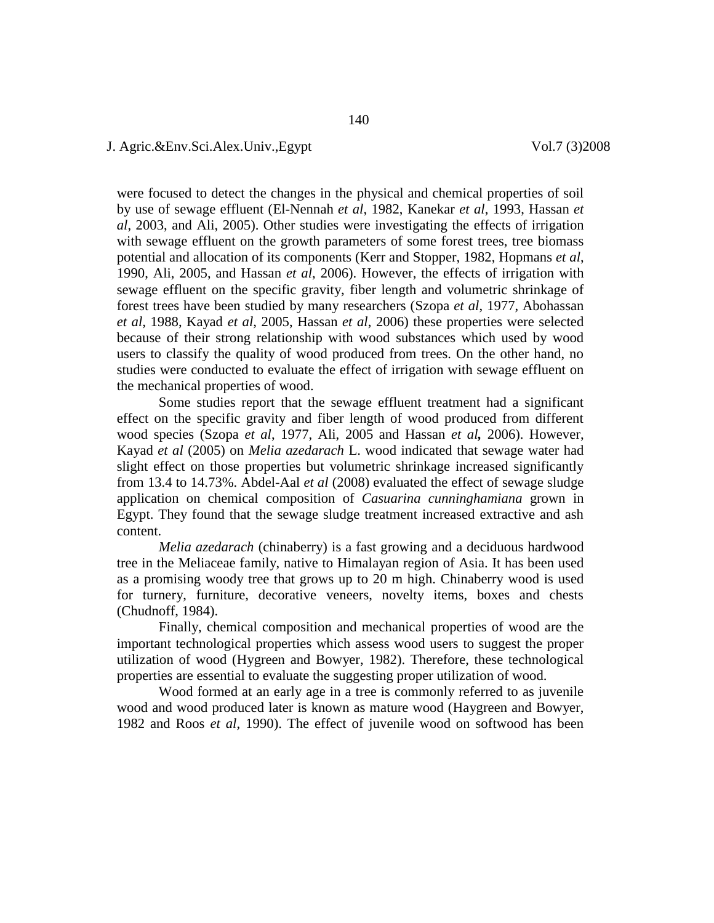were focused to detect the changes in the physical and chemical properties of soil by use of sewage effluent (El-Nennah *et al*, 1982, Kanekar *et al*, 1993, Hassan *et al*, 2003, and Ali, 2005). Other studies were investigating the effects of irrigation with sewage effluent on the growth parameters of some forest trees, tree biomass potential and allocation of its components (Kerr and Stopper, 1982, Hopmans *et al*, 1990, Ali, 2005, and Hassan *et al*, 2006). However, the effects of irrigation with sewage effluent on the specific gravity, fiber length and volumetric shrinkage of forest trees have been studied by many researchers (Szopa *et al*, 1977, Abohassan *et al,* 1988, Kayad *et al*, 2005, Hassan *et al*, 2006) these properties were selected because of their strong relationship with wood substances which used by wood users to classify the quality of wood produced from trees. On the other hand, no studies were conducted to evaluate the effect of irrigation with sewage effluent on the mechanical properties of wood.

Some studies report that the sewage effluent treatment had a significant effect on the specific gravity and fiber length of wood produced from different wood species (Szopa *et al*, 1977, Ali, 2005 and Hassan *et al,* 2006). However, Kayad *et al* (2005) on *Melia azedarach* L. wood indicated that sewage water had slight effect on those properties but volumetric shrinkage increased significantly from 13.4 to 14.73%. Abdel-Aal *et al* (2008) evaluated the effect of sewage sludge application on chemical composition of *Casuarina cunninghamiana* grown in Egypt. They found that the sewage sludge treatment increased extractive and ash content.

*Melia azedarach* (chinaberry) is a fast growing and a deciduous hardwood tree in the Meliaceae family, native to Himalayan region of Asia. It has been used as a promising woody tree that grows up to 20 m high. Chinaberry wood is used for turnery, furniture, decorative veneers, novelty items, boxes and chests (Chudnoff, 1984).

Finally, chemical composition and mechanical properties of wood are the important technological properties which assess wood users to suggest the proper utilization of wood (Hygreen and Bowyer, 1982). Therefore, these technological properties are essential to evaluate the suggesting proper utilization of wood.

Wood formed at an early age in a tree is commonly referred to as juvenile wood and wood produced later is known as mature wood (Haygreen and Bowyer, 1982 and Roos *et al*, 1990). The effect of juvenile wood on softwood has been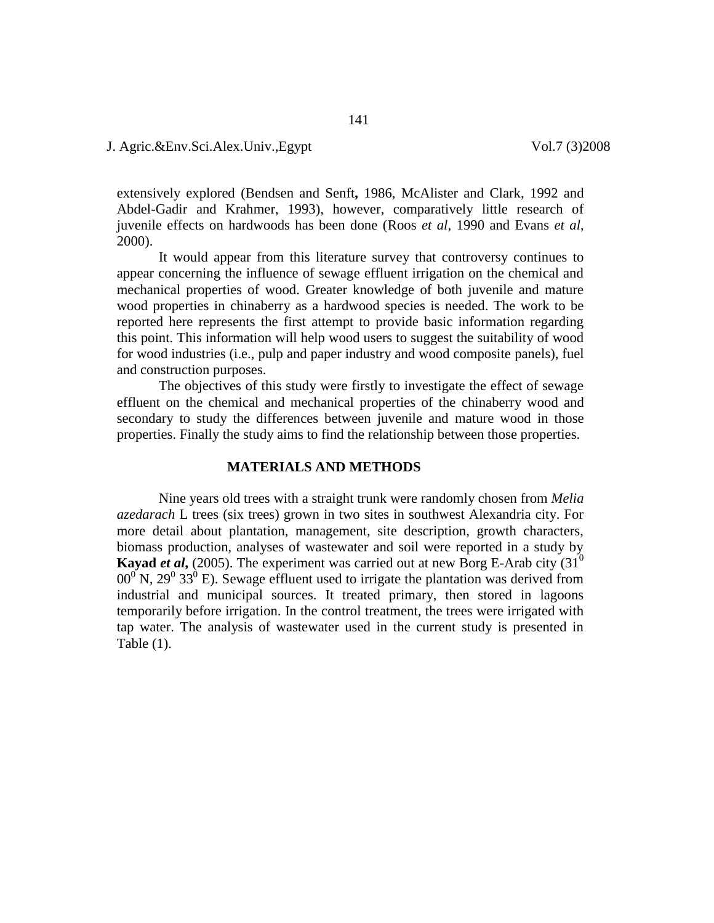extensively explored (Bendsen and Senft**,** 1986, McAlister and Clark, 1992 and Abdel-Gadir and Krahmer, 1993), however, comparatively little research of juvenile effects on hardwoods has been done (Roos *et al*, 1990 and Evans *et al*, 2000).

It would appear from this literature survey that controversy continues to appear concerning the influence of sewage effluent irrigation on the chemical and mechanical properties of wood. Greater knowledge of both juvenile and mature wood properties in chinaberry as a hardwood species is needed. The work to be reported here represents the first attempt to provide basic information regarding this point. This information will help wood users to suggest the suitability of wood for wood industries (i.e., pulp and paper industry and wood composite panels), fuel and construction purposes.

The objectives of this study were firstly to investigate the effect of sewage effluent on the chemical and mechanical properties of the chinaberry wood and secondary to study the differences between juvenile and mature wood in those properties. Finally the study aims to find the relationship between those properties.

#### **MATERIALS AND METHODS**

Nine years old trees with a straight trunk were randomly chosen from *Melia azedarach* L trees (six trees) grown in two sites in southwest Alexandria city. For more detail about plantation, management, site description, growth characters, biomass production, analyses of wastewater and soil were reported in a study by **Kayad** *et al*, (2005). The experiment was carried out at new Borg E-Arab city (31<sup>0</sup>)  $00^{\circ}$  N,  $29^{\circ}$   $33^{\circ}$  E). Sewage effluent used to irrigate the plantation was derived from industrial and municipal sources. It treated primary, then stored in lagoons temporarily before irrigation. In the control treatment, the trees were irrigated with tap water. The analysis of wastewater used in the current study is presented in Table (1).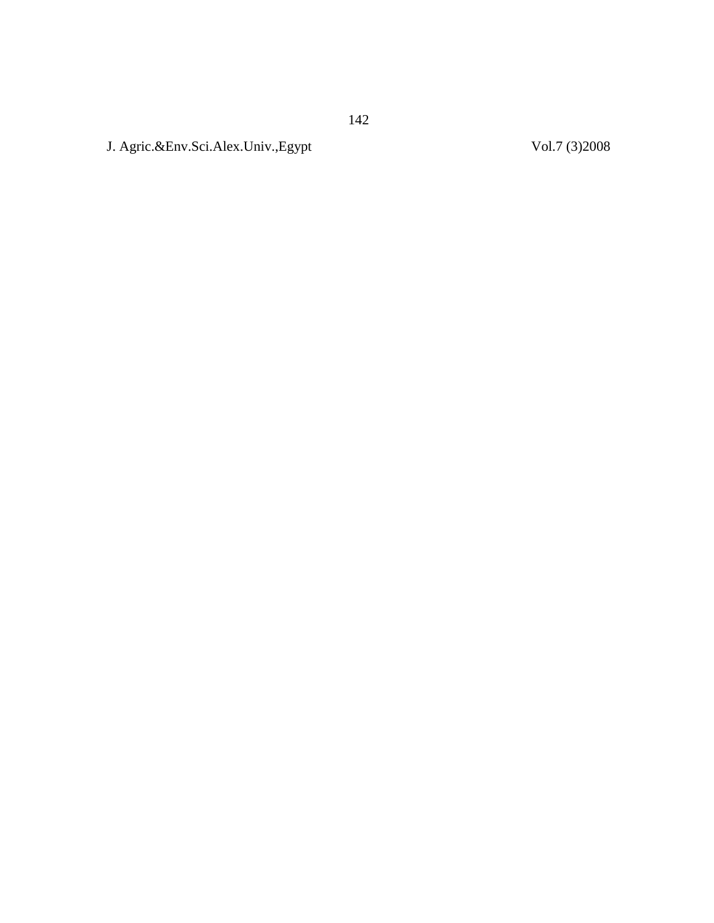142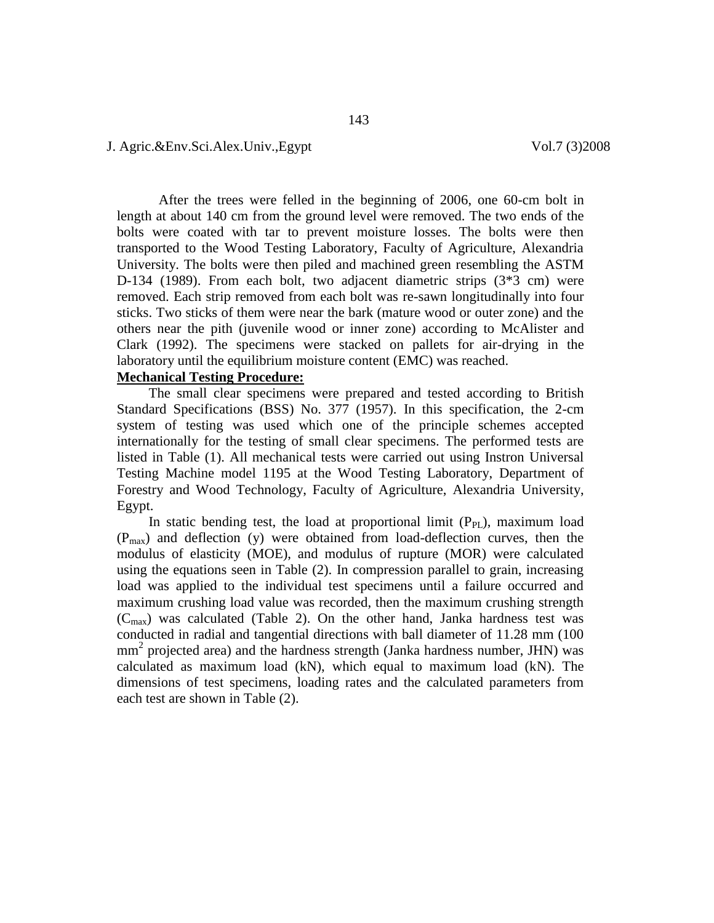After the trees were felled in the beginning of 2006, one 60-cm bolt in length at about 140 cm from the ground level were removed. The two ends of the bolts were coated with tar to prevent moisture losses. The bolts were then transported to the Wood Testing Laboratory, Faculty of Agriculture, Alexandria University. The bolts were then piled and machined green resembling the ASTM D-134 (1989). From each bolt, two adjacent diametric strips (3\*3 cm) were removed. Each strip removed from each bolt was re-sawn longitudinally into four sticks. Two sticks of them were near the bark (mature wood or outer zone) and the others near the pith (juvenile wood or inner zone) according to McAlister and Clark (1992). The specimens were stacked on pallets for air-drying in the laboratory until the equilibrium moisture content (EMC) was reached.

#### **Mechanical Testing Procedure:**

The small clear specimens were prepared and tested according to British Standard Specifications (BSS) No. 377 (1957). In this specification, the 2-cm system of testing was used which one of the principle schemes accepted internationally for the testing of small clear specimens. The performed tests are listed in Table (1). All mechanical tests were carried out using Instron Universal Testing Machine model 1195 at the Wood Testing Laboratory, Department of Forestry and Wood Technology, Faculty of Agriculture, Alexandria University, Egypt.

In static bending test, the load at proportional limit  $(P_{PL})$ , maximum load (Pmax) and deflection (y) were obtained from load-deflection curves, then the modulus of elasticity (MOE), and modulus of rupture (MOR) were calculated using the equations seen in Table (2). In compression parallel to grain, increasing load was applied to the individual test specimens until a failure occurred and maximum crushing load value was recorded, then the maximum crushing strength  $(C<sub>max</sub>)$  was calculated (Table 2). On the other hand, Janka hardness test was conducted in radial and tangential directions with ball diameter of 11.28 mm (100 mm<sup>2</sup> projected area) and the hardness strength (Janka hardness number, JHN) was calculated as maximum load (kN), which equal to maximum load (kN). The dimensions of test specimens, loading rates and the calculated parameters from each test are shown in Table (2).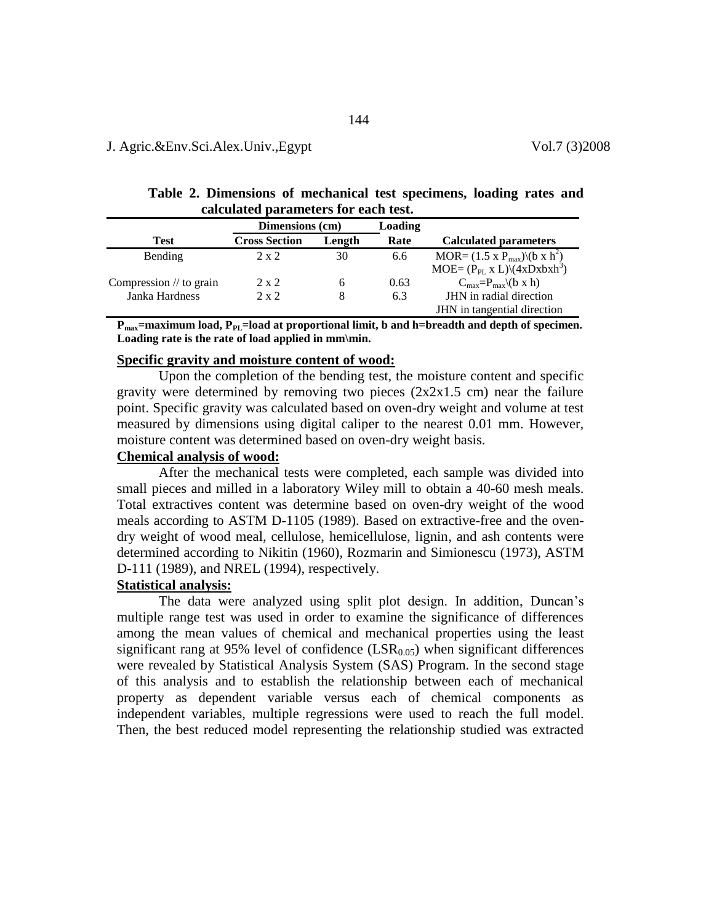|  |  | Table 2. Dimensions of mechanical test specimens, loading rates and |  |  |  |
|--|--|---------------------------------------------------------------------|--|--|--|
|  |  | calculated parameters for each test.                                |  |  |  |

|                                     | Dimensions (cm)      |        | Loading |                                                 |
|-------------------------------------|----------------------|--------|---------|-------------------------------------------------|
| Test                                | <b>Cross Section</b> | Length | Rate    | <b>Calculated parameters</b>                    |
| Bending                             | $2 \times 2$         | 30     | 6.6     | MOR= $(1.5 \times P_{max})/(b \times h^2)$      |
|                                     |                      |        |         | $MOE = (P_{PI} \times L) \setminus (4xDxbxh^3)$ |
| Compression $\frac{1}{10}$ to grain | $2 \times 2$         | 6      | 0.63    | $C_{\text{max}}=P_{\text{max}}(b \times h)$     |
| Janka Hardness                      | $2 \times 2$         |        | 6.3     | <b>IHN</b> in radial direction                  |
|                                     |                      |        |         | JHN in tangential direction                     |

**P**<sub>max</sub>=maximum load, P<sub>PL</sub>=load at proportional limit, b and h=breadth and depth of specimen. Loading rate is the rate of load applied in mm\min.

## **Specific gravity and moisture content of wood:**

Upon the completion of the bending test, the moisture content and specific gravity were determined by removing two pieces  $(2x2x1.5 \text{ cm})$  near the failure point. Specific gravity was calculated based on oven-dry weight and volume at test measured by dimensions using digital caliper to the nearest 0.01 mm. However, moisture content was determined based on oven-dry weight basis.

## **Chemical analysis of wood:**

After the mechanical tests were completed, each sample was divided into small pieces and milled in a laboratory Wiley mill to obtain a 40-60 mesh meals. Total extractives content was determine based on oven-dry weight of the wood meals according to ASTM D-1105 (1989). Based on extractive-free and the ovendry weight of wood meal, cellulose, hemicellulose, lignin, and ash contents were determined according to Nikitin (1960), Rozmarin and Simionescu (1973), ASTM D-111 (1989), and NREL (1994), respectively.

#### **Statistical analysis:**

The data were analyzed using split plot design. In addition, Duncan's multiple range test was used in order to examine the significance of differences among the mean values of chemical and mechanical properties using the least significant rang at 95% level of confidence  $(LSR<sub>0.05</sub>)$  when significant differences were revealed by Statistical Analysis System (SAS) Program. In the second stage of this analysis and to establish the relationship between each of mechanical property as dependent variable versus each of chemical components as independent variables, multiple regressions were used to reach the full model. Then, the best reduced model representing the relationship studied was extracted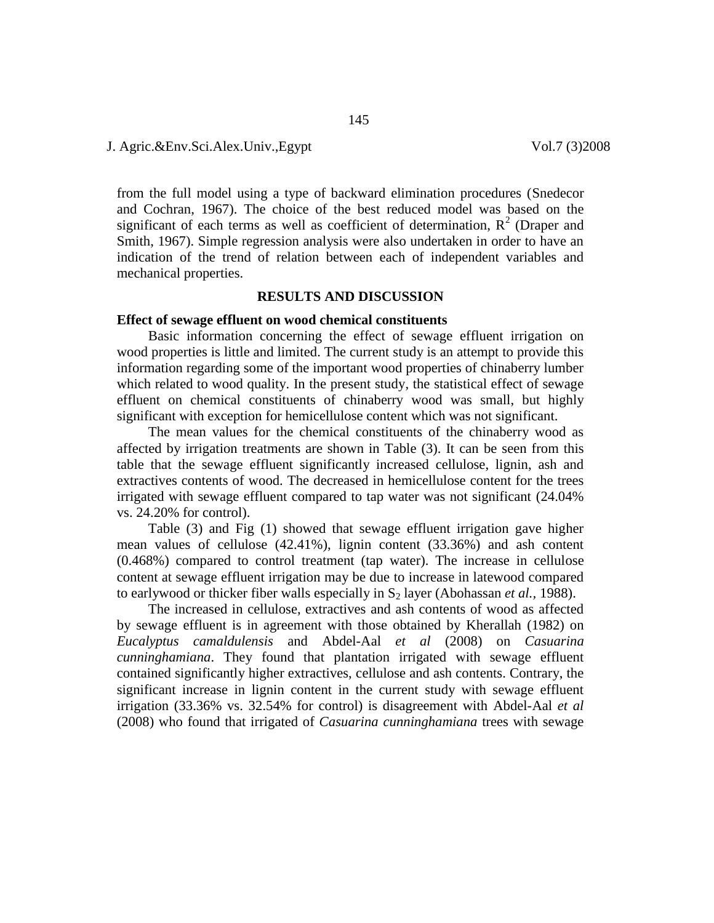from the full model using a type of backward elimination procedures (Snedecor and Cochran, 1967). The choice of the best reduced model was based on the significant of each terms as well as coefficient of determination,  $R^2$  (Draper and Smith, 1967). Simple regression analysis were also undertaken in order to have an indication of the trend of relation between each of independent variables and mechanical properties.

## **RESULTS AND DISCUSSION**

#### **Effect of sewage effluent on wood chemical constituents**

Basic information concerning the effect of sewage effluent irrigation on wood properties is little and limited. The current study is an attempt to provide this information regarding some of the important wood properties of chinaberry lumber which related to wood quality. In the present study, the statistical effect of sewage effluent on chemical constituents of chinaberry wood was small, but highly significant with exception for hemicellulose content which was not significant.

The mean values for the chemical constituents of the chinaberry wood as affected by irrigation treatments are shown in Table (3). It can be seen from this table that the sewage effluent significantly increased cellulose, lignin, ash and extractives contents of wood. The decreased in hemicellulose content for the trees irrigated with sewage effluent compared to tap water was not significant (24.04% vs. 24.20% for control).

Table (3) and Fig (1) showed that sewage effluent irrigation gave higher mean values of cellulose (42.41%), lignin content (33.36%) and ash content (0.468%) compared to control treatment (tap water). The increase in cellulose content at sewage effluent irrigation may be due to increase in latewood compared to earlywood or thicker fiber walls especially in S<sub>2</sub> layer (Abohassan *et al.*, 1988).

The increased in cellulose, extractives and ash contents of wood as affected by sewage effluent is in agreement with those obtained by Kherallah (1982) on *Eucalyptus camaldulensis* and Abdel-Aal *et al* (2008) on *Casuarina cunninghamiana*. They found that plantation irrigated with sewage effluent contained significantly higher extractives, cellulose and ash contents. Contrary, the significant increase in lignin content in the current study with sewage effluent irrigation (33.36% vs. 32.54% for control) is disagreement with Abdel-Aal *et al* (2008) who found that irrigated of *Casuarina cunninghamiana* trees with sewage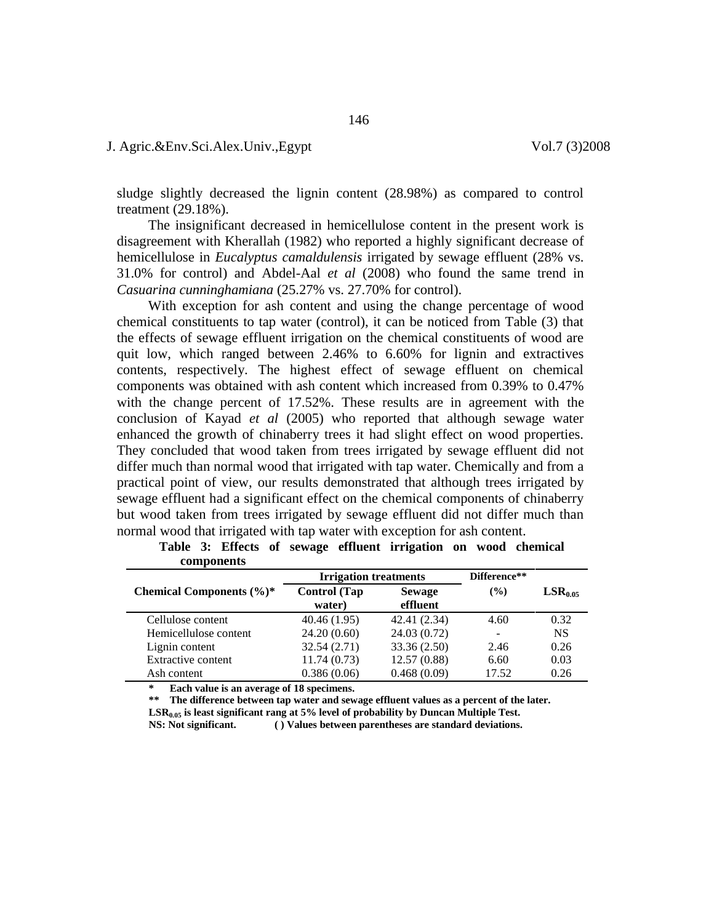sludge slightly decreased the lignin content (28.98%) as compared to control treatment (29.18%).

The insignificant decreased in hemicellulose content in the present work is disagreement with Kherallah (1982) who reported a highly significant decrease of hemicellulose in *Eucalyptus camaldulensis* irrigated by sewage effluent (28% vs. 31.0% for control) and Abdel-Aal *et al* (2008) who found the same trend in *Casuarina cunninghamiana* (25.27% vs. 27.70% for control).

With exception for ash content and using the change percentage of wood chemical constituents to tap water (control), it can be noticed from Table (3) that the effects of sewage effluent irrigation on the chemical constituents of wood are quit low, which ranged between 2.46% to 6.60% for lignin and extractives contents, respectively. The highest effect of sewage effluent on chemical components was obtained with ash content which increased from 0.39% to 0.47% with the change percent of 17.52%. These results are in agreement with the conclusion of Kayad *et al* (2005) who reported that although sewage water enhanced the growth of chinaberry trees it had slight effect on wood properties. They concluded that wood taken from trees irrigated by sewage effluent did not differ much than normal wood that irrigated with tap water. Chemically and from a practical point of view, our results demonstrated that although trees irrigated by sewage effluent had a significant effect on the chemical components of chinaberry but wood taken from trees irrigated by sewage effluent did not differ much than normal wood that irrigated with tap water with exception for ash content.

| $\bullet$ 0.44 $\bullet$ 0.44 $\bullet$ 44 $\bullet$ 50 |                               |                           |                          |              |
|---------------------------------------------------------|-------------------------------|---------------------------|--------------------------|--------------|
|                                                         | <b>Irrigation treatments</b>  |                           | Difference**             |              |
| <b>Chemical Components</b> $(\%)^*$                     | <b>Control</b> (Tap<br>water) | <b>Sewage</b><br>effluent | $($ %)                   | $LSR_{0.05}$ |
| Cellulose content                                       | 40.46(1.95)                   | 42.41 (2.34)              | 4.60                     | 0.32         |
| Hemicellulose content                                   | 24.20(0.60)                   | 24.03 (0.72)              | $\overline{\phantom{a}}$ | <b>NS</b>    |
| Lignin content                                          | 32.54(2.71)                   | 33.36(2.50)               | 2.46                     | 0.26         |
| <b>Extractive content</b>                               | 11.74(0.73)                   | 12.57(0.88)               | 6.60                     | 0.03         |
| Ash content                                             | 0.386(0.06)                   | 0.468(0.09)               | 17.52                    | 0.26         |

**Table 3: Effects of sewage effluent irrigation on wood chemical components** 

**\* Each value is an average of 18 specimens.**

**\*\* The difference between tap water and sewage effluent values as a percent of the later. LSR**<sub>0.05</sub> is least significant rang at 5% level of probability by Duncan Multiple Test. **NS**: Not significant. ( ) Values between parentheses are standard deviations.

**NS: Not significant. ( ) Values between parentheses are standard deviations.**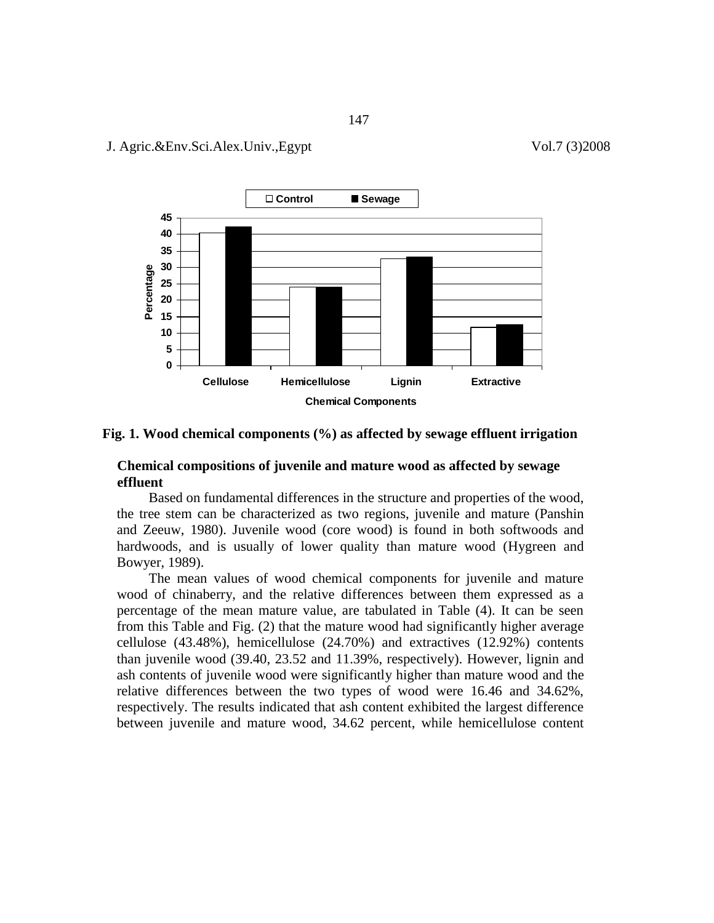

#### **Fig. 1. Wood chemical components (%) as affected by sewage effluent irrigation**

## **Chemical compositions of juvenile and mature wood as affected by sewage effluent**

Based on fundamental differences in the structure and properties of the wood, the tree stem can be characterized as two regions, juvenile and mature (Panshin and Zeeuw, 1980). Juvenile wood (core wood) is found in both softwoods and hardwoods, and is usually of lower quality than mature wood (Hygreen and Bowyer, 1989).

The mean values of wood chemical components for juvenile and mature wood of chinaberry, and the relative differences between them expressed as a percentage of the mean mature value, are tabulated in Table (4). It can be seen from this Table and Fig. (2) that the mature wood had significantly higher average cellulose (43.48%), hemicellulose (24.70%) and extractives (12.92%) contents than juvenile wood (39.40, 23.52 and 11.39%, respectively). However, lignin and ash contents of juvenile wood were significantly higher than mature wood and the relative differences between the two types of wood were 16.46 and 34.62%, respectively. The results indicated that ash content exhibited the largest difference between juvenile and mature wood, 34.62 percent, while hemicellulose content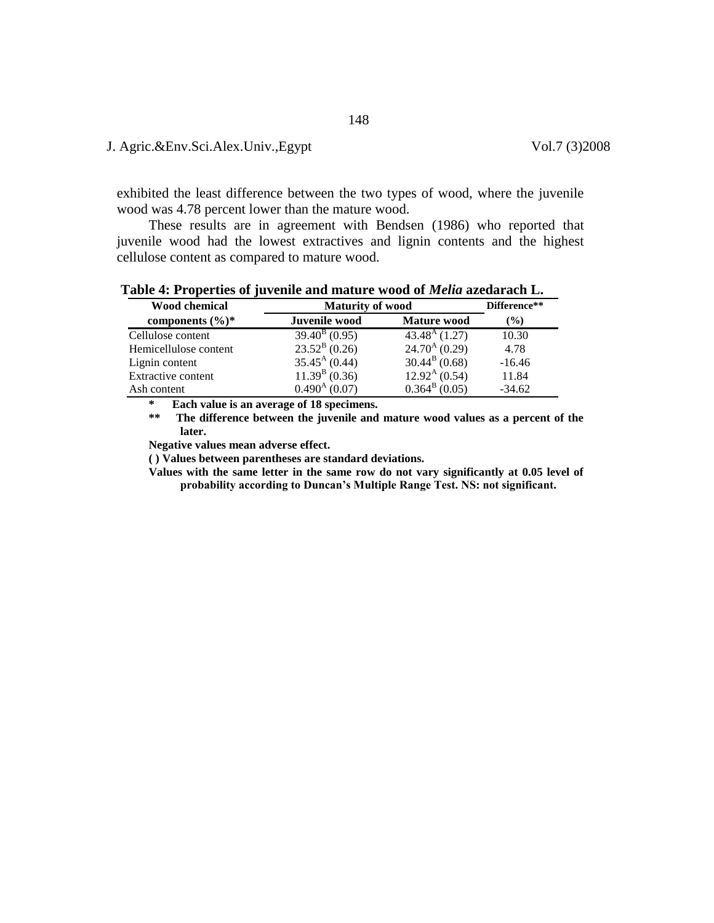exhibited the least difference between the two types of wood, where the juvenile wood was 4.78 percent lower than the mature wood.

These results are in agreement with Bendsen (1986) who reported that juvenile wood had the lowest extractives and lignin contents and the highest cellulose content as compared to mature wood.

| Wood chemical             | <b>Maturity of wood</b> | Difference**           |               |
|---------------------------|-------------------------|------------------------|---------------|
| components $(\%)^*$       | Juvenile wood           | <b>Mature wood</b>     | $\frac{9}{0}$ |
| Cellulose content         | $39.40^{B}$ (0.95)      | $43.48A$ (1.27)        | 10.30         |
| Hemicellulose content     | $23.52^B(0.26)$         | $24.70A$ (0.29)        | 4.78          |
| Lignin content            | $35.45^{\rm A}$ (0.44)  | $30.44^B(0.68)$        | $-16.46$      |
| <b>Extractive content</b> | $11.39^{B}$ (0.36)      | $12.92^{\rm A}$ (0.54) | 11.84         |
| Ash content               |                         | $0.364^{\rm B}$        | $-34.62$      |

**Table 4: Properties of juvenile and mature wood of** *Melia* **azedarach L.** 

**\* Each value is an average of 18 specimens.**

The difference between the juvenile and mature wood values as a percent of the **later.**

**Negative values mean adverse effect.**

**( ) Values between parentheses are standard deviations.** 

**Values with the same letter in the same row do not vary significantly at 0.05 level of probability according to Duncan's Multiple Range Test. NS: not significant.**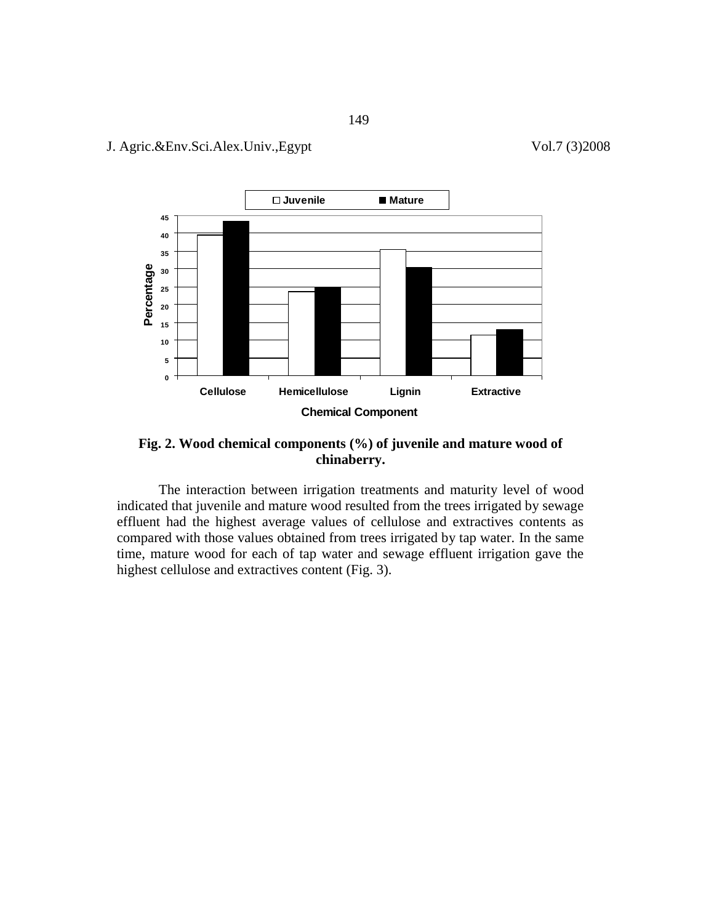

**Fig. 2. Wood chemical components (%) of juvenile and mature wood of chinaberry.**

The interaction between irrigation treatments and maturity level of wood indicated that juvenile and mature wood resulted from the trees irrigated by sewage effluent had the highest average values of cellulose and extractives contents as compared with those values obtained from trees irrigated by tap water. In the same time, mature wood for each of tap water and sewage effluent irrigation gave the highest cellulose and extractives content (Fig. 3).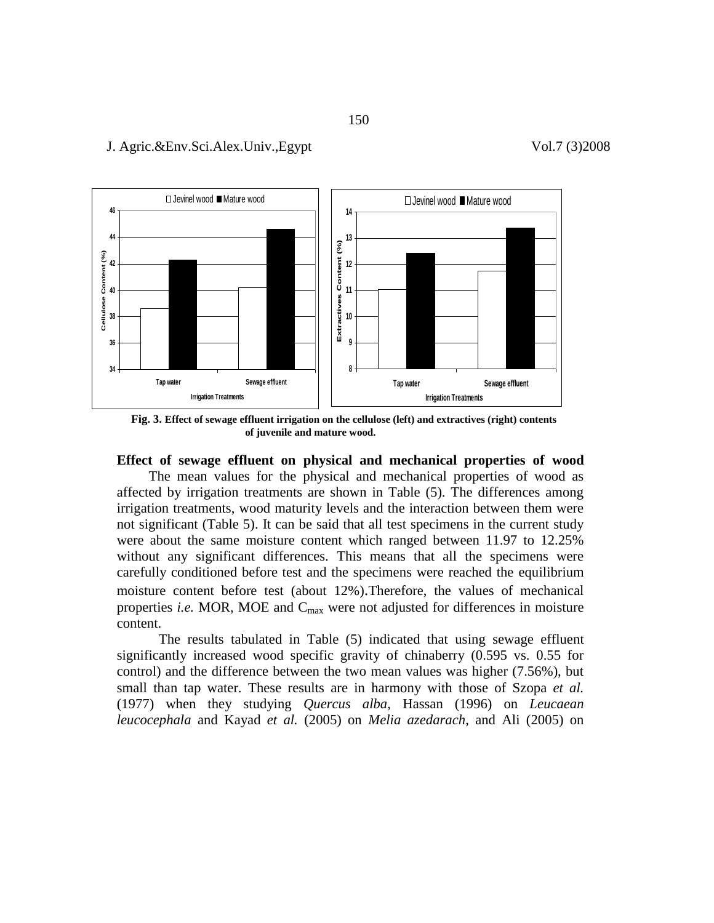

 **Fig. 3. Effect of sewage effluent irrigation on the cellulose (left) and extractives (right) contents of juvenile and mature wood.**

# **Effect of sewage effluent on physical and mechanical properties of wood**

The mean values for the physical and mechanical properties of wood as affected by irrigation treatments are shown in Table (5). The differences among irrigation treatments, wood maturity levels and the interaction between them were not significant (Table 5). It can be said that all test specimens in the current study were about the same moisture content which ranged between 11.97 to 12.25% without any significant differences. This means that all the specimens were carefully conditioned before test and the specimens were reached the equilibrium moisture content before test (about 12%).Therefore, the values of mechanical properties *i.e.* MOR, MOE and C<sub>max</sub> were not adjusted for differences in moisture content.

The results tabulated in Table (5) indicated that using sewage effluent significantly increased wood specific gravity of chinaberry (0.595 vs. 0.55 for control) and the difference between the two mean values was higher (7.56%), but small than tap water. These results are in harmony with those of Szopa *et al.* (1977) when they studying *Quercus alba*, Hassan (1996) on *Leucaean leucocephala* and Kayad *et al.* (2005) on *Melia azedarach*, and Ali (2005) on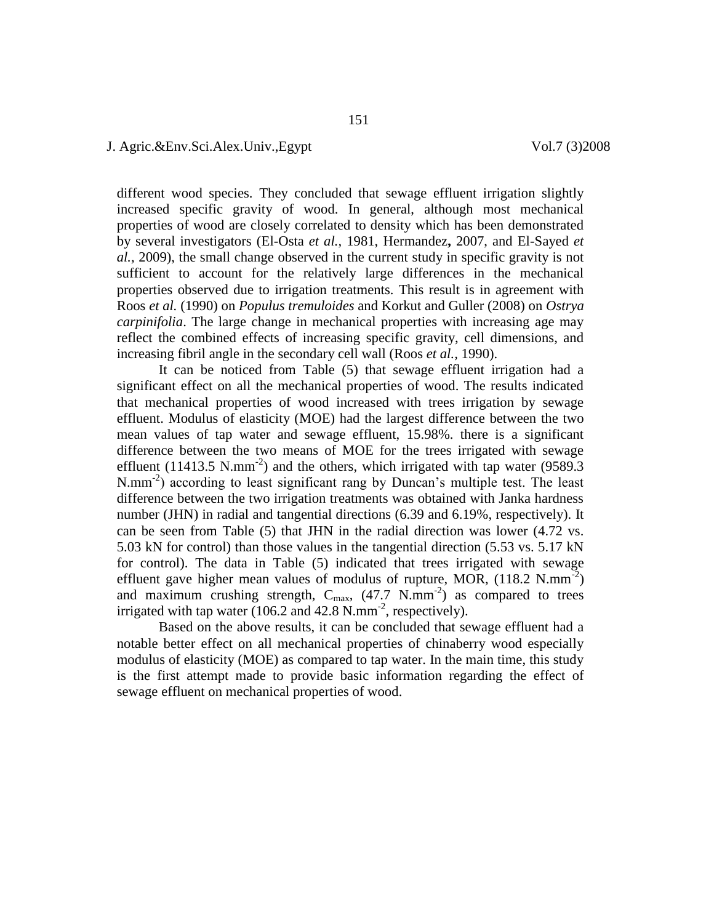different wood species. They concluded that sewage effluent irrigation slightly increased specific gravity of wood. In general, although most mechanical properties of wood are closely correlated to density which has been demonstrated by several investigators (El-Osta *et al.,* 1981, Hermandez**,** 2007, and El-Sayed *et al.,* 2009), the small change observed in the current study in specific gravity is not sufficient to account for the relatively large differences in the mechanical properties observed due to irrigation treatments. This result is in agreement with Roos *et al.* (1990) on *Populus tremuloides* and Korkut and Guller (2008) on *Ostrya carpinifolia*. The large change in mechanical properties with increasing age may reflect the combined effects of increasing specific gravity, cell dimensions, and increasing fibril angle in the secondary cell wall (Roos *et al.,* 1990).

It can be noticed from Table (5) that sewage effluent irrigation had a significant effect on all the mechanical properties of wood. The results indicated that mechanical properties of wood increased with trees irrigation by sewage effluent. Modulus of elasticity (MOE) had the largest difference between the two mean values of tap water and sewage effluent, 15.98%. there is a significant difference between the two means of MOE for the trees irrigated with sewage effluent (11413.5 N.mm<sup>-2</sup>) and the others, which irrigated with tap water (9589.3) N.mm<sup>-2</sup>) according to least significant rang by Duncan's multiple test. The least difference between the two irrigation treatments was obtained with Janka hardness number (JHN) in radial and tangential directions (6.39 and 6.19%, respectively). It can be seen from Table (5) that JHN in the radial direction was lower (4.72 vs. 5.03 kN for control) than those values in the tangential direction (5.53 vs. 5.17 kN for control). The data in Table (5) indicated that trees irrigated with sewage effluent gave higher mean values of modulus of rupture, MOR,  $(118.2 \text{ N/mm}^2)$ and maximum crushing strength,  $C_{\text{max}}$ , (47.7 N.mm<sup>-2</sup>) as compared to trees irrigated with tap water (106.2 and 42.8 N.mm<sup>-2</sup>, respectively).

Based on the above results, it can be concluded that sewage effluent had a notable better effect on all mechanical properties of chinaberry wood especially modulus of elasticity (MOE) as compared to tap water. In the main time, this study is the first attempt made to provide basic information regarding the effect of sewage effluent on mechanical properties of wood.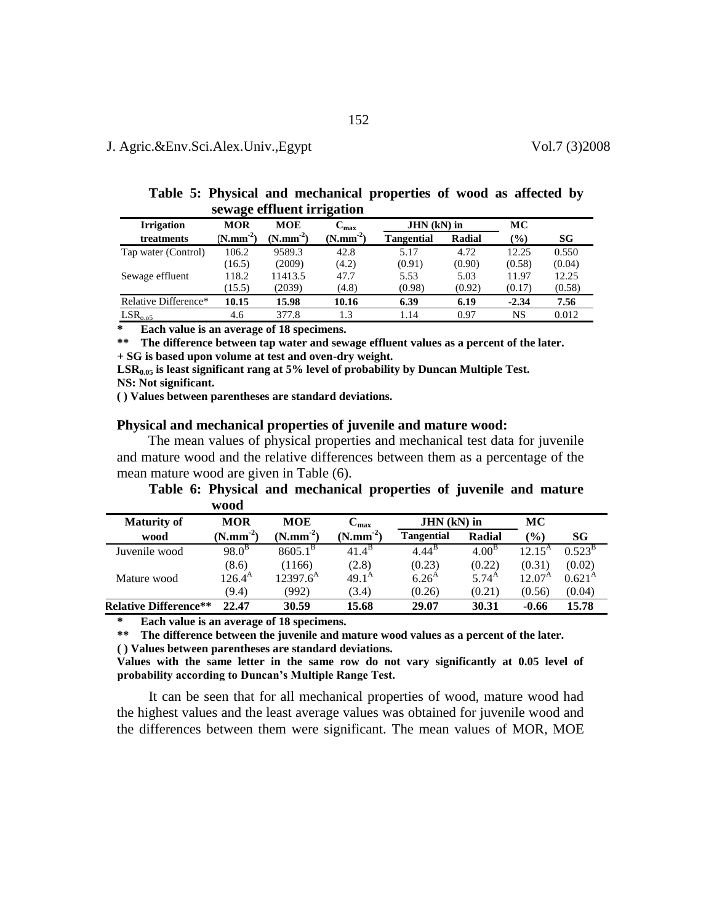|  |  | Table 5: Physical and mechanical properties of wood as affected by |  |  |  |
|--|--|--------------------------------------------------------------------|--|--|--|
|  |  | sewage effluent irrigation                                         |  |  |  |

| <b>Irrigation</b>    | <b>MOR</b>    | <b>MOE</b>    | $-$ max       | $JHN (kN)$ in     |        | МC            |        |
|----------------------|---------------|---------------|---------------|-------------------|--------|---------------|--------|
| treatments           | $(N.mm^{-2})$ | $(N.mm^{-2})$ | $(N.mm^{-2})$ | <b>Tangential</b> | Radial | $\frac{1}{2}$ | SG     |
| Tap water (Control)  | 106.2         | 9589.3        | 42.8          | 5.17              | 4.72   | 12.25         | 0.550  |
|                      | (16.5)        | (2009)        | (4.2)         | (0.91)            | (0.90) | (0.58)        | (0.04) |
| Sewage effluent      | 118.2         | 11413.5       | 47.7          | 5.53              | 5.03   | 11.97         | 12.25  |
|                      | (15.5)        | (2039)        | (4.8)         | (0.98)            | (0.92) | (0.17)        | (0.58) |
| Relative Difference* | 10.15         | 15.98         | 10.16         | 6.39              | 6.19   | $-2.34$       | 7.56   |
| $LSR_{0.05}$         | 4.6           | 377.8         | 1.3           | 1.14              | 0.97   | NS            | 0.012  |
|                      |               | .             |               |                   |        |               |        |

**\* Each value is an average of 18 specimens.**

**\*\* The difference between tap water and sewage effluent values as a percent of the later. + SG is based upon volume at test and oven-dry weight.**

**LSR0.05 is least significant rang at 5% level of probability by Duncan Multiple Test. NS: Not significant.**

**( ) Values between parentheses are standard deviations.**

#### **Physical and mechanical properties of juvenile and mature wood:**

The mean values of physical properties and mechanical test data for juvenile and mature wood and the relative differences between them as a percentage of the mean mature wood are given in Table (6).

|                              | wvvu            |                   |                                 |                   |                   |                 |                    |
|------------------------------|-----------------|-------------------|---------------------------------|-------------------|-------------------|-----------------|--------------------|
| <b>Maturity of</b>           | <b>MOR</b>      | MOE               | $\mathord{\sim_{\mathrm{max}}}$ | $JHN (kN)$ in     |                   | МC              |                    |
| wood                         | $(N.mm-2)$      | $(N.mm^{-2})$     | $(N.mm^{-2})$                   | <b>Tangential</b> | <b>Radial</b>     | (%)             | SG                 |
| Juvenile wood                | $98.0^{B}$      | $8605.1^{B}$      | $41.4^{\rm B}$                  | $4.44^{b}$        | 4.00 <sup>B</sup> | $12.15^{\rm A}$ | $0.523^{B}$        |
|                              | (8.6)           | (1166)            | (2.8)                           | (0.23)            | (0.22)            | (0.31)          | (0.02)             |
| Mature wood                  | $126.4^{\rm A}$ | $12397.6^{\rm A}$ | $49.1^{\rm A}$                  | $6.26^{A}$        | $5.74^{A}$        | $12.07^{\rm A}$ | 0.621 <sup>A</sup> |
|                              | (9.4)           | (992)             | (3.4)                           | (0.26)            | (0.21)            | (0.56)          | (0.04)             |
| <b>Relative Difference**</b> | 22.47           | 30.59             | 15.68                           | 29.07             | 30.31             | -0.66           | 15.78              |

**Table 6: Physical and mechanical properties of juvenile and mature wood** 

**\* Each value is an average of 18 specimens.**

**\*\* The difference between the juvenile and mature wood values as a percent of the later.**

**( ) Values between parentheses are standard deviations.** 

**Values with the same letter in the same row do not vary significantly at 0.05 level of probability according to Duncan's Multiple Range Test.**

It can be seen that for all mechanical properties of wood, mature wood had the highest values and the least average values was obtained for juvenile wood and the differences between them were significant. The mean values of MOR, MOE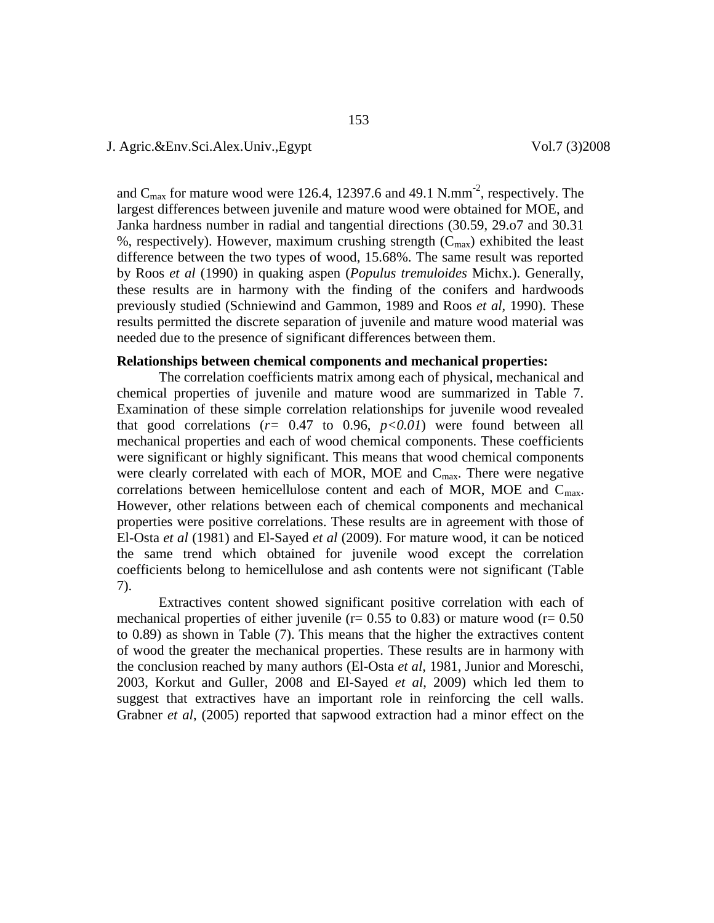and  $C_{\text{max}}$  for mature wood were 126.4, 12397.6 and 49.1 N.mm<sup>-2</sup>, respectively. The largest differences between juvenile and mature wood were obtained for MOE, and Janka hardness number in radial and tangential directions (30.59, 29.o7 and 30.31 %, respectively). However, maximum crushing strength  $(C_{\text{max}})$  exhibited the least difference between the two types of wood, 15.68%. The same result was reported by Roos *et al* (1990) in quaking aspen (*Populus tremuloides* Michx.). Generally, these results are in harmony with the finding of the conifers and hardwoods previously studied (Schniewind and Gammon, 1989 and Roos *et al,* 1990). These results permitted the discrete separation of juvenile and mature wood material was needed due to the presence of significant differences between them.

#### **Relationships between chemical components and mechanical properties:**

The correlation coefficients matrix among each of physical, mechanical and chemical properties of juvenile and mature wood are summarized in Table 7. Examination of these simple correlation relationships for juvenile wood revealed that good correlations  $(r=0.47 \text{ to } 0.96, p<0.01)$  were found between all mechanical properties and each of wood chemical components. These coefficients were significant or highly significant. This means that wood chemical components were clearly correlated with each of MOR, MOE and  $C_{\text{max}}$ . There were negative correlations between hemicellulose content and each of MOR, MOE and  $C_{\text{max}}$ . However, other relations between each of chemical components and mechanical properties were positive correlations. These results are in agreement with those of El-Osta *et al* (1981) and El-Sayed *et al* (2009). For mature wood, it can be noticed the same trend which obtained for juvenile wood except the correlation coefficients belong to hemicellulose and ash contents were not significant (Table 7).

Extractives content showed significant positive correlation with each of mechanical properties of either juvenile ( $r= 0.55$  to 0.83) or mature wood ( $r= 0.50$ ) to 0.89) as shown in Table (7). This means that the higher the extractives content of wood the greater the mechanical properties. These results are in harmony with the conclusion reached by many authors (El-Osta *et al,* 1981, Junior and Moreschi, 2003, Korkut and Guller, 2008 and El-Sayed *et al*, 2009) which led them to suggest that extractives have an important role in reinforcing the cell walls. Grabner *et al*, (2005) reported that sapwood extraction had a minor effect on the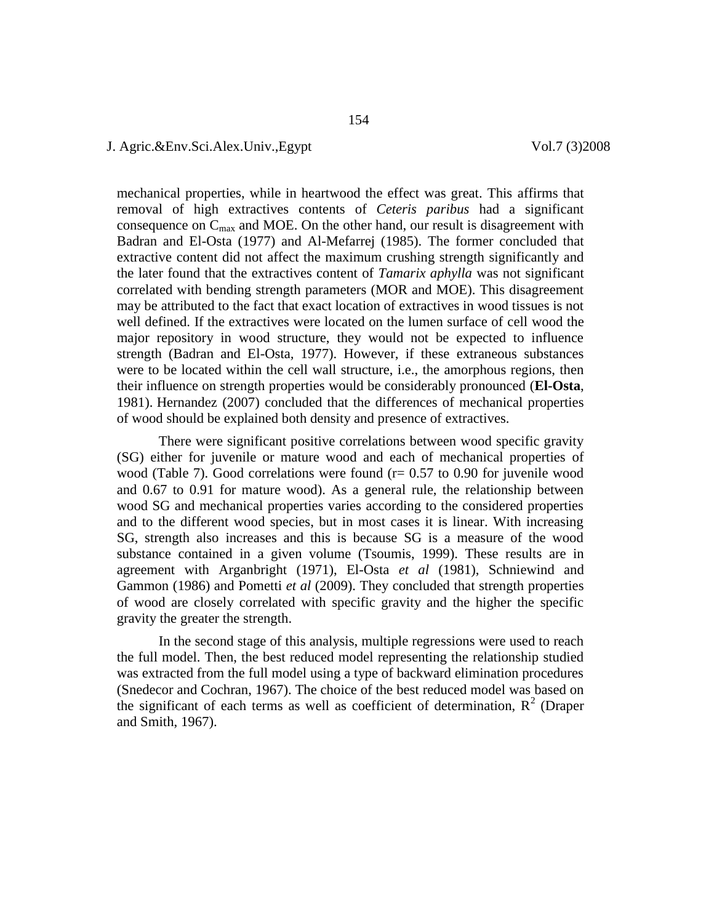mechanical properties, while in heartwood the effect was great. This affirms that removal of high extractives contents of *Ceteris paribus* had a significant consequence on  $C_{\text{max}}$  and MOE. On the other hand, our result is disagreement with Badran and El-Osta (1977) and Al-Mefarrej (1985). The former concluded that extractive content did not affect the maximum crushing strength significantly and the later found that the extractives content of *Tamarix aphylla* was not significant correlated with bending strength parameters (MOR and MOE). This disagreement may be attributed to the fact that exact location of extractives in wood tissues is not well defined. If the extractives were located on the lumen surface of cell wood the major repository in wood structure, they would not be expected to influence strength (Badran and El-Osta*,* 1977). However, if these extraneous substances were to be located within the cell wall structure, i.e., the amorphous regions, then their influence on strength properties would be considerably pronounced (**El-Osta**, 1981). Hernandez (2007) concluded that the differences of mechanical properties of wood should be explained both density and presence of extractives.

There were significant positive correlations between wood specific gravity (SG) either for juvenile or mature wood and each of mechanical properties of wood (Table 7). Good correlations were found ( $r = 0.57$  to 0.90 for juvenile wood and 0.67 to 0.91 for mature wood). As a general rule, the relationship between wood SG and mechanical properties varies according to the considered properties and to the different wood species, but in most cases it is linear. With increasing SG, strength also increases and this is because SG is a measure of the wood substance contained in a given volume (Tsoumis, 1999). These results are in agreement with Arganbright (1971), El-Osta *et al* (1981), Schniewind and Gammon (1986) and Pometti *et al* (2009). They concluded that strength properties of wood are closely correlated with specific gravity and the higher the specific gravity the greater the strength.

In the second stage of this analysis, multiple regressions were used to reach the full model. Then, the best reduced model representing the relationship studied was extracted from the full model using a type of backward elimination procedures (Snedecor and Cochran, 1967). The choice of the best reduced model was based on the significant of each terms as well as coefficient of determination,  $R^2$  (Draper and Smith, 1967).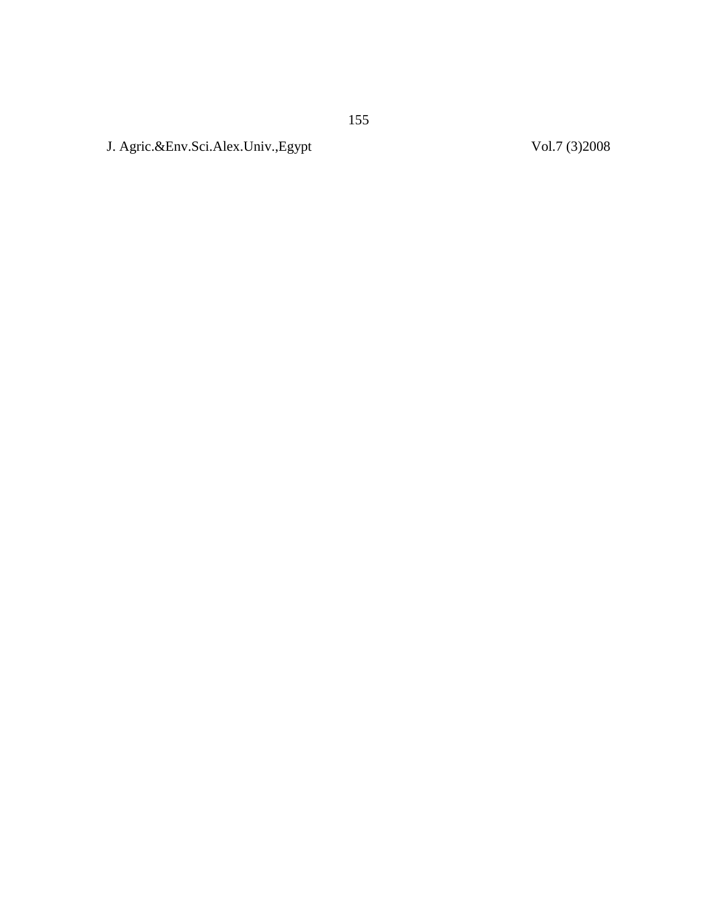155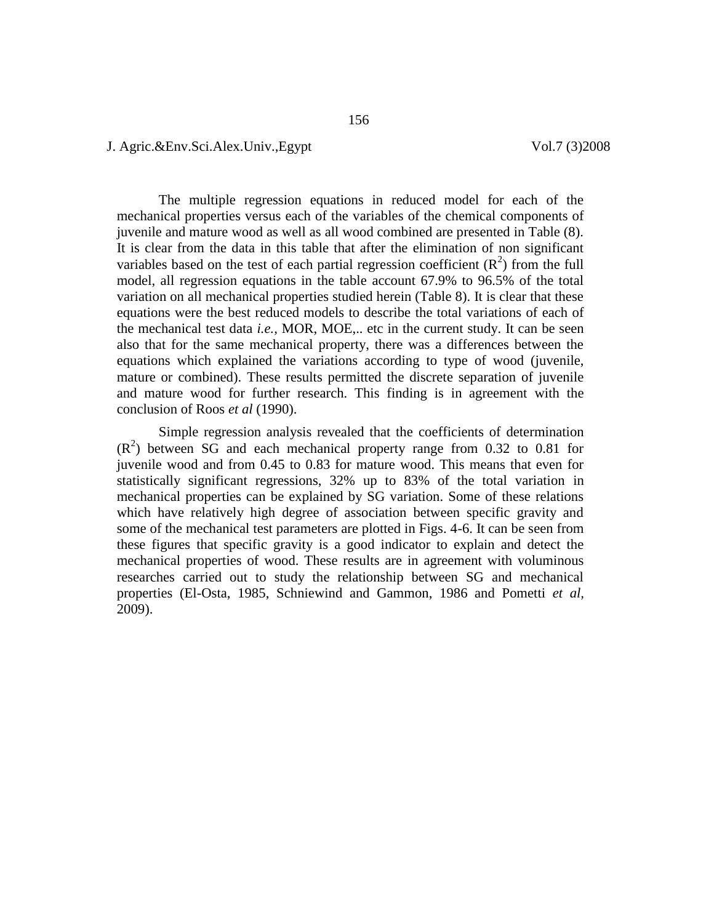The multiple regression equations in reduced model for each of the mechanical properties versus each of the variables of the chemical components of juvenile and mature wood as well as all wood combined are presented in Table (8). It is clear from the data in this table that after the elimination of non significant variables based on the test of each partial regression coefficient  $(R^2)$  from the full model, all regression equations in the table account 67.9% to 96.5% of the total variation on all mechanical properties studied herein (Table 8). It is clear that these equations were the best reduced models to describe the total variations of each of the mechanical test data *i.e.,* MOR, MOE,.. etc in the current study. It can be seen also that for the same mechanical property, there was a differences between the equations which explained the variations according to type of wood (juvenile, mature or combined). These results permitted the discrete separation of juvenile and mature wood for further research. This finding is in agreement with the conclusion of Roos *et al* (1990).

Simple regression analysis revealed that the coefficients of determination  $(R<sup>2</sup>)$  between SG and each mechanical property range from 0.32 to 0.81 for juvenile wood and from 0.45 to 0.83 for mature wood. This means that even for statistically significant regressions, 32% up to 83% of the total variation in mechanical properties can be explained by SG variation. Some of these relations which have relatively high degree of association between specific gravity and some of the mechanical test parameters are plotted in Figs. 4-6. It can be seen from these figures that specific gravity is a good indicator to explain and detect the mechanical properties of wood. These results are in agreement with voluminous researches carried out to study the relationship between SG and mechanical properties (El-Osta, 1985, Schniewind and Gammon, 1986 and Pometti *et al,* 2009).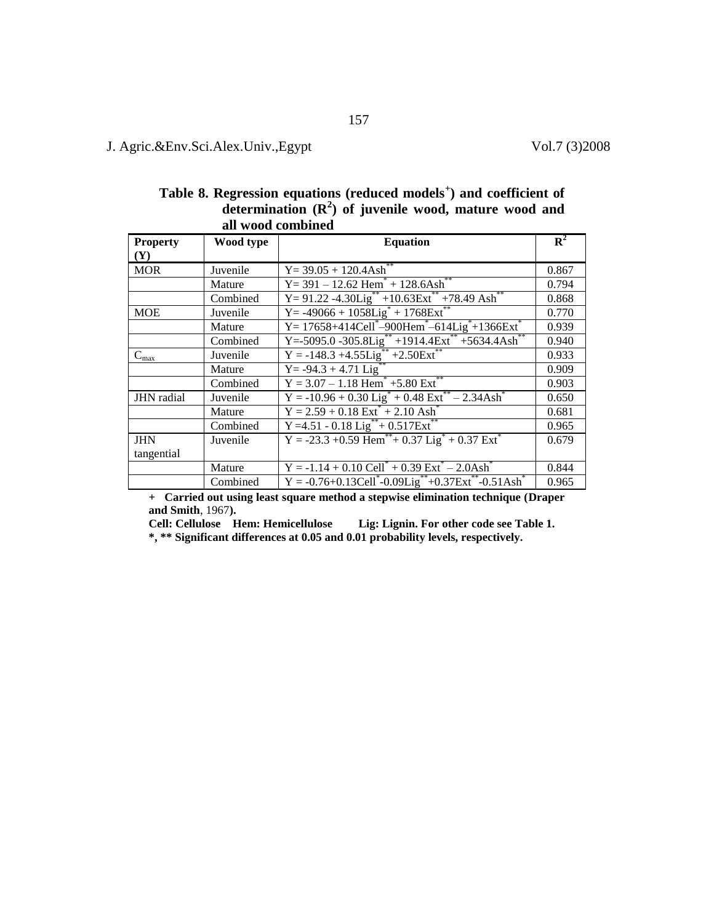| all wood combined      |           |                                                                                                          |                |  |  |  |  |  |
|------------------------|-----------|----------------------------------------------------------------------------------------------------------|----------------|--|--|--|--|--|
| <b>Property</b><br>(Y) | Wood type | <b>Equation</b>                                                                                          | $\mathbb{R}^2$ |  |  |  |  |  |
| <b>MOR</b>             | Juvenile  | $Y = 39.05 + 120.4$ Ash <sup>**</sup>                                                                    | 0.867          |  |  |  |  |  |
|                        | Mature    | $Y = 391 - 12.62$ Hem <sup>*</sup> + 128.6Ash <sup>**</sup>                                              | 0.794          |  |  |  |  |  |
|                        | Combined  | Y= $91.22 -4.30$ Lig <sup>**</sup> +10.63Ext <sup>**</sup> +78.49 Ash <sup>**</sup>                      | 0.868          |  |  |  |  |  |
| <b>MOE</b>             | Juvenile  | $Y = -49066 + 1058$ Lig <sup>*</sup> + 1768Ext <sup>*</sup>                                              | 0.770          |  |  |  |  |  |
|                        | Mature    | $Y = 17658 + 414 \text{Cell}^* - 900 \text{Hem}^* - 614 \text{Lig}^* + 1366 \text{Ext}^*$                | 0.939          |  |  |  |  |  |
|                        | Combined  | Y=-5095.0 -305.8Lig <sup>**</sup> +1914.4Ext <sup>**</sup> +5634.4Ash <sup>*</sup>                       | 0.940          |  |  |  |  |  |
| $C_{\underline{max}}$  | Juvenile  | $Y = -148.3 + 4.55$ Lig <sup>**</sup> +2.50Ext <sup>**</sup>                                             | 0.933          |  |  |  |  |  |
|                        | Mature    | $Y = -94.3 + 4.71$ Lig <sup>*</sup>                                                                      | 0.909          |  |  |  |  |  |
|                        | Combined  | $Y = 3.07 - 1.18$ Hem <sup>*</sup> +5.80 Ext <sup>**</sup>                                               | 0.903          |  |  |  |  |  |
| JHN radial             | Juvenile  | $Y = -10.96 + 0.30$ Lig <sup>*</sup> + 0.48 Ext <sup>**</sup> – 2.34Ash <sup>*</sup>                     | 0.650          |  |  |  |  |  |
|                        | Mature    | $Y = 2.59 + 0.18 \text{ Ext}^* + 2.10 \text{ Ash}^*$                                                     | 0.681          |  |  |  |  |  |
|                        | Combined  | $Y = 4.51 - 0.18$ Lig <sup>**</sup> + 0.517Ext <sup>**</sup>                                             | 0.965          |  |  |  |  |  |
| <b>JHN</b>             | Juvenile  | $Y = -23.3 + 0.59$ Hem <sup>**</sup> + 0.37 Lig <sup>*</sup> + 0.37 Ext <sup>*</sup>                     | 0.679          |  |  |  |  |  |
| tangential             |           |                                                                                                          |                |  |  |  |  |  |
|                        | Mature    | $Y = -1.14 + 0.10$ Cell <sup>*</sup> + 0.39 Ext <sup>*</sup> – 2.0Ash <sup>*</sup>                       | 0.844          |  |  |  |  |  |
|                        | Combined  | $Y = -0.76 + 0.13$ Cell <sup>*</sup> -0.09Lig <sup>**</sup> +0.37Ext <sup>**</sup> -0.51Ash <sup>*</sup> | 0.965          |  |  |  |  |  |

| Table 8. Regression equations (reduced models <sup>+</sup> ) and coefficient of |
|---------------------------------------------------------------------------------|
| determination $(R^2)$ of juvenile wood, mature wood and                         |
| haridmon hoow lle                                                               |

**+ Carried out using least square method a stepwise elimination technique (Draper and Smith**, 1967**).** 

**Cell: Cellulose Hem: Hemicellulose Lig: Lignin. For other code see Table 1.**

**\*, \*\* Significant differences at 0.05 and 0.01 probability levels, respectively.**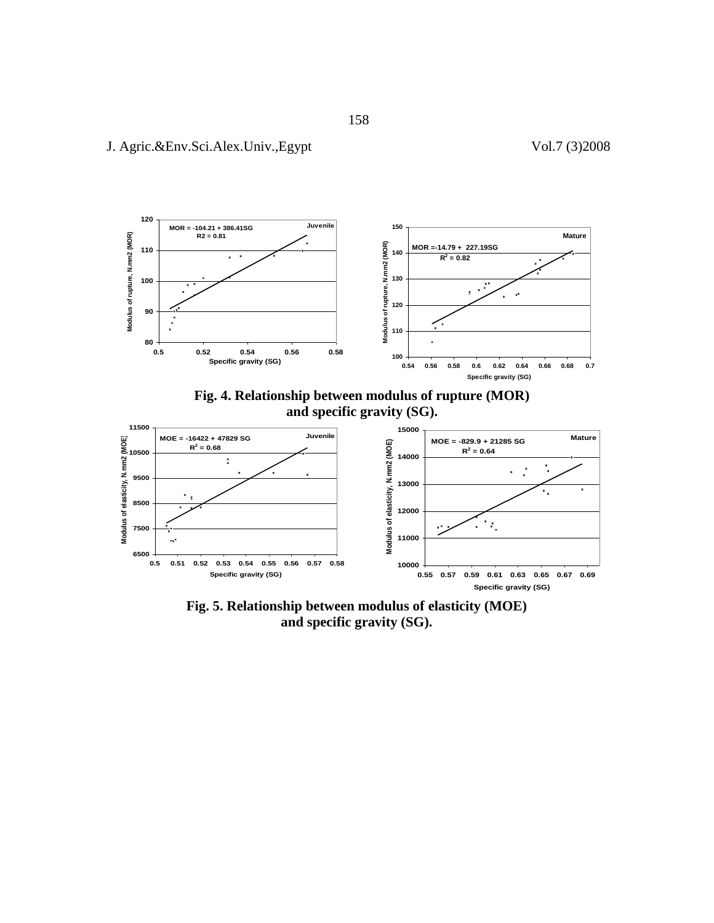

**0.5 0.51 0.52 0.53 0.54 0.55 0.56 0.57 0.58 Specific gravity (SG)**  $\frac{10000}{0.55}$  0.57 **0.55 0.57 0.59 0.61 0.63 0.65 0.67 0.69 Specific gravity (SG) Fig. 5. Relationship between modulus of elasticity (MOE)** 

**and specific gravity (SG).**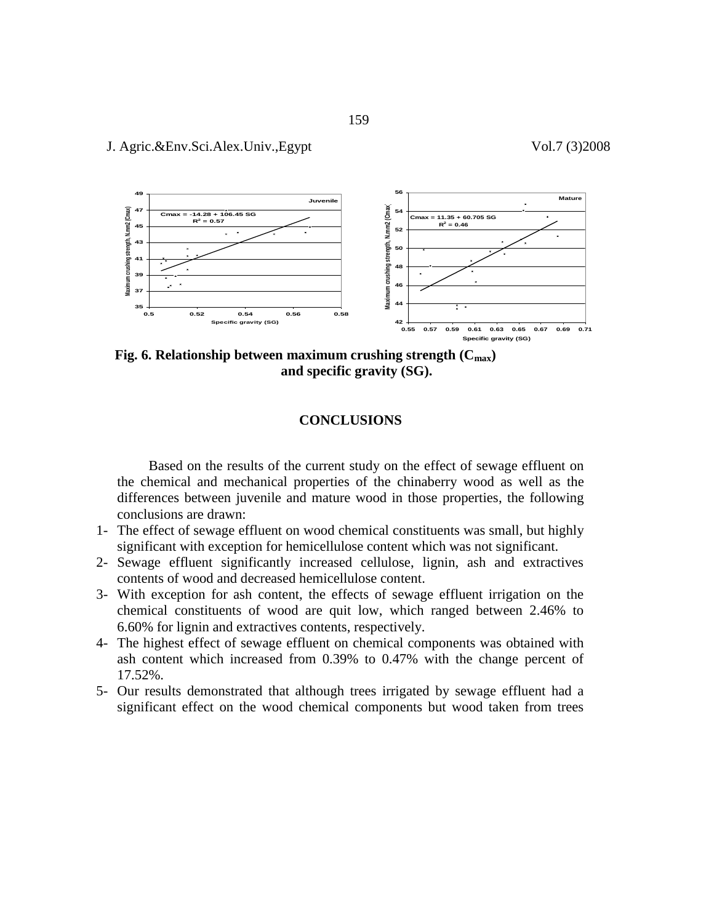





## **CONCLUSIONS**

Based on the results of the current study on the effect of sewage effluent on the chemical and mechanical properties of the chinaberry wood as well as the differences between juvenile and mature wood in those properties, the following conclusions are drawn:

- 1- The effect of sewage effluent on wood chemical constituents was small, but highly significant with exception for hemicellulose content which was not significant.
- 2- Sewage effluent significantly increased cellulose, lignin, ash and extractives contents of wood and decreased hemicellulose content.
- 3- With exception for ash content, the effects of sewage effluent irrigation on the chemical constituents of wood are quit low, which ranged between 2.46% to 6.60% for lignin and extractives contents, respectively.
- 4- The highest effect of sewage effluent on chemical components was obtained with ash content which increased from 0.39% to 0.47% with the change percent of 17.52%.
- 5- Our results demonstrated that although trees irrigated by sewage effluent had a significant effect on the wood chemical components but wood taken from trees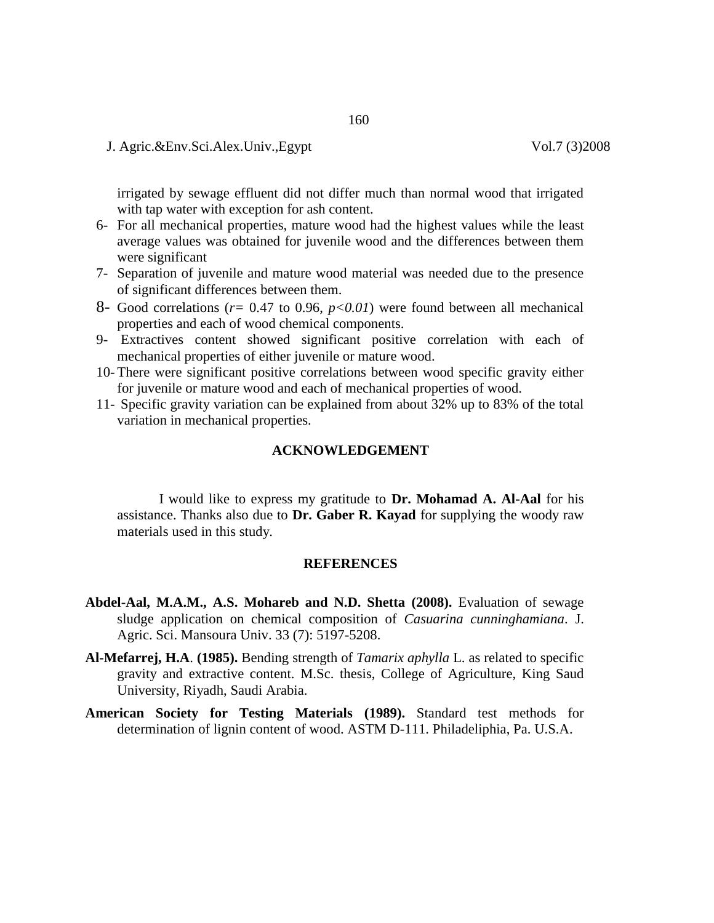irrigated by sewage effluent did not differ much than normal wood that irrigated with tap water with exception for ash content.

- 6- For all mechanical properties, mature wood had the highest values while the least average values was obtained for juvenile wood and the differences between them were significant
- 7- Separation of juvenile and mature wood material was needed due to the presence of significant differences between them.
- 8- Good correlations (*r=* 0.47 to 0.96, *p<0.01*) were found between all mechanical properties and each of wood chemical components.
- 9- Extractives content showed significant positive correlation with each of mechanical properties of either juvenile or mature wood.
- 10- There were significant positive correlations between wood specific gravity either for juvenile or mature wood and each of mechanical properties of wood.
- 11- Specific gravity variation can be explained from about 32% up to 83% of the total variation in mechanical properties.

## **ACKNOWLEDGEMENT**

I would like to express my gratitude to **Dr. Mohamad A. Al-Aal** for his assistance. Thanks also due to **Dr. Gaber R. Kayad** for supplying the woody raw materials used in this study.

### **REFERENCES**

- **Abdel-Aal, M.A.M., A.S. Mohareb and N.D. Shetta (2008).** Evaluation of sewage sludge application on chemical composition of *Casuarina cunninghamiana*. J. Agric. Sci. Mansoura Univ. 33 (7): 5197-5208.
- **Al-Mefarrej, H.A**. **(1985).** Bending strength of *Tamarix aphylla* L. as related to specific gravity and extractive content. M.Sc. thesis, College of Agriculture, King Saud University, Riyadh, Saudi Arabia.
- **American Society for Testing Materials (1989).** Standard test methods for determination of lignin content of wood. ASTM D-111. Philadeliphia, Pa. U.S.A.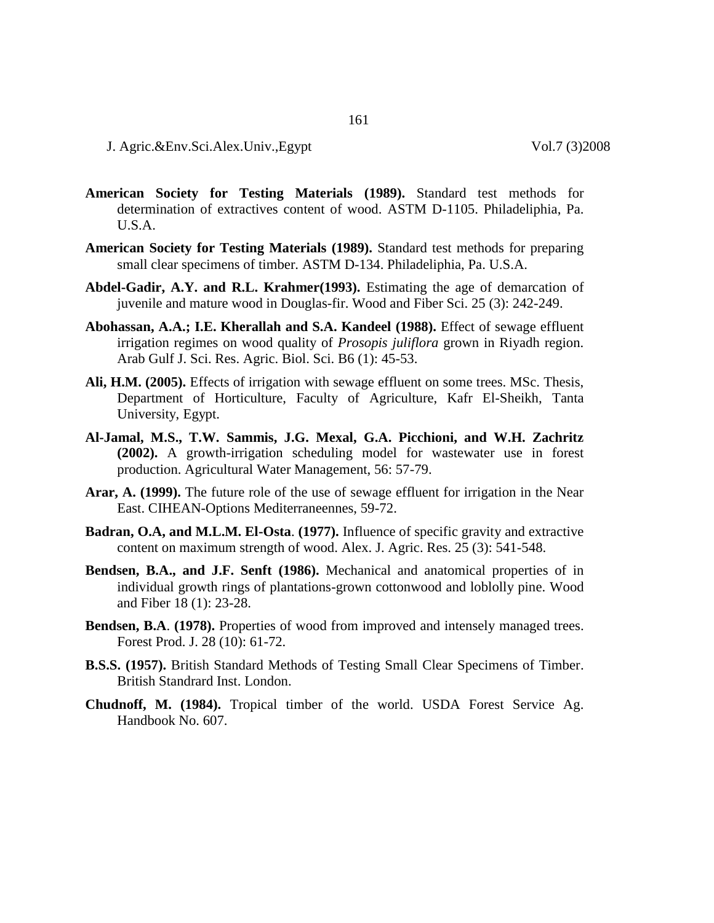- **American Society for Testing Materials (1989).** Standard test methods for determination of extractives content of wood. ASTM D-1105. Philadeliphia, Pa. U.S.A.
- **American Society for Testing Materials (1989).** Standard test methods for preparing small clear specimens of timber. ASTM D-134. Philadeliphia, Pa. U.S.A.
- **Abdel-Gadir, A.Y. and R.L. Krahmer(1993).** Estimating the age of demarcation of juvenile and mature wood in Douglas-fir. Wood and Fiber Sci. 25 (3): 242-249.
- **Abohassan, A.A.; I.E. Kherallah and S.A. Kandeel (1988).** Effect of sewage effluent irrigation regimes on wood quality of *Prosopis juliflora* grown in Riyadh region. Arab Gulf J. Sci. Res. Agric. Biol. Sci. B6 (1): 45-53.
- **Ali, H.M. (2005).** Effects of irrigation with sewage effluent on some trees. MSc. Thesis, Department of Horticulture, Faculty of Agriculture, Kafr El-Sheikh, Tanta University, Egypt.
- **Al-Jamal, M.S., T.W. Sammis, J.G. Mexal, G.A. Picchioni, and W.H. Zachritz (2002).** A growth-irrigation scheduling model for wastewater use in forest production. Agricultural Water Management, 56: 57-79.
- **Arar, A. (1999).** The future role of the use of sewage effluent for irrigation in the Near East. CIHEAN-Options Mediterraneennes, 59-72.
- **Badran, O.A, and M.L.M. El-Osta**. **(1977).** Influence of specific gravity and extractive content on maximum strength of wood. Alex. J. Agric. Res. 25 (3): 541-548.
- **Bendsen, B.A., and J.F. Senft (1986).** Mechanical and anatomical properties of in individual growth rings of plantations-grown cottonwood and loblolly pine. Wood and Fiber 18 (1): 23-28.
- **Bendsen, B.A. (1978).** Properties of wood from improved and intensely managed trees. Forest Prod. J. 28 (10): 61-72.
- **B.S.S. (1957).** British Standard Methods of Testing Small Clear Specimens of Timber. British Standrard Inst. London.
- **Chudnoff, M. (1984).** Tropical timber of the world. USDA Forest Service Ag. Handbook No. 607.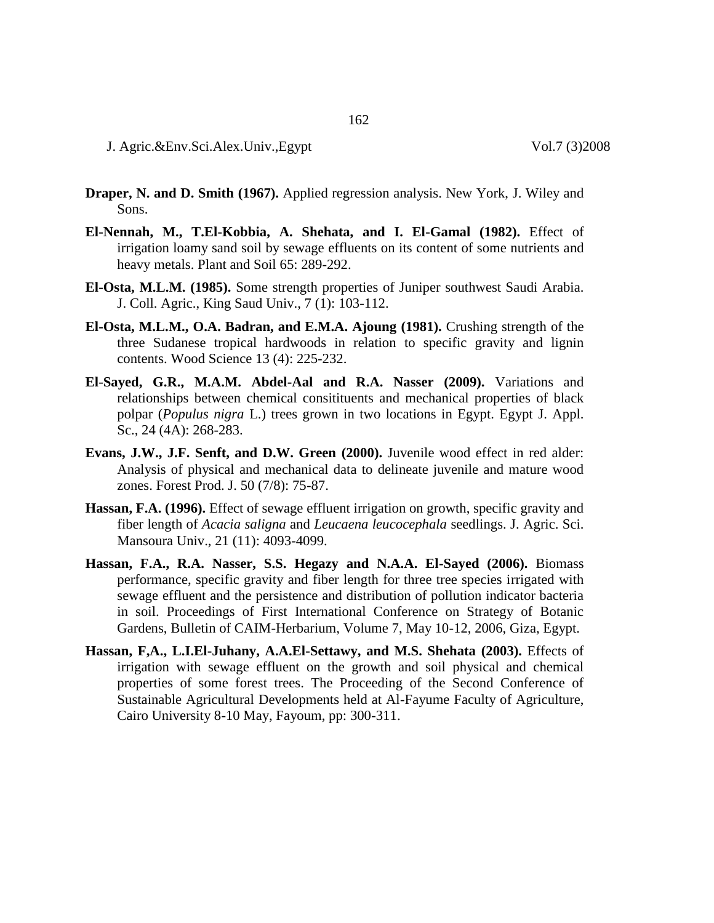- **Draper, N. and D. Smith (1967).** Applied regression analysis. New York, J. Wiley and Sons.
- **El-Nennah, M., T.El-Kobbia, A. Shehata, and I. El-Gamal (1982).** Effect of irrigation loamy sand soil by sewage effluents on its content of some nutrients and heavy metals. Plant and Soil 65: 289-292.
- **El-Osta, M.L.M. (1985).** Some strength properties of Juniper southwest Saudi Arabia. J. Coll. Agric., King Saud Univ., 7 (1): 103-112.
- **El-Osta, M.L.M., O.A. Badran, and E.M.A. Ajoung (1981).** Crushing strength of the three Sudanese tropical hardwoods in relation to specific gravity and lignin contents. Wood Science 13 (4): 225-232.
- **El**-**Sayed, G.R., M.A.M. Abdel-Aal and R.A. Nasser (2009).** Variations and relationships between chemical consitituents and mechanical properties of black polpar (*Populus nigra* L.) trees grown in two locations in Egypt. Egypt J. Appl. Sc., 24 (4A): 268-283.
- **Evans, J.W., J.F. Senft, and D.W. Green (2000).** Juvenile wood effect in red alder: Analysis of physical and mechanical data to delineate juvenile and mature wood zones. Forest Prod. J. 50 (7/8): 75-87.
- **Hassan, F.A. (1996).** Effect of sewage effluent irrigation on growth, specific gravity and fiber length of *Acacia saligna* and *Leucaena leucocephala* seedlings. J. Agric. Sci. Mansoura Univ., 21 (11): 4093-4099.
- **Hassan, F.A., R.A. Nasser, S.S. Hegazy and N.A.A. El-Sayed (2006).** Biomass performance, specific gravity and fiber length for three tree species irrigated with sewage effluent and the persistence and distribution of pollution indicator bacteria in soil. Proceedings of First International Conference on Strategy of Botanic Gardens, Bulletin of CAIM-Herbarium, Volume 7, May 10-12, 2006, Giza, Egypt.
- **Hassan, F,A., L.I.El-Juhany, A.A.El-Settawy, and M.S. Shehata (2003).** Effects of irrigation with sewage effluent on the growth and soil physical and chemical properties of some forest trees. The Proceeding of the Second Conference of Sustainable Agricultural Developments held at Al-Fayume Faculty of Agriculture, Cairo University 8-10 May, Fayoum, pp: 300-311.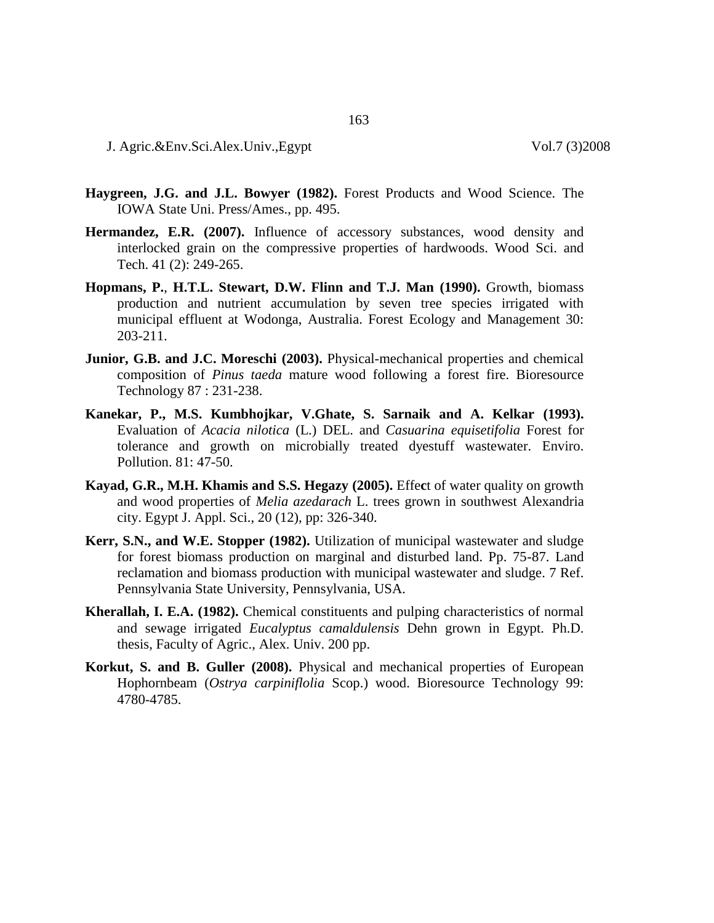- **Haygreen, J.G. and J.L. Bowyer (1982).** Forest Products and Wood Science. The IOWA State Uni. Press/Ames., pp. 495.
- **Hermandez, E.R. (2007).** Influence of accessory substances, wood density and interlocked grain on the compressive properties of hardwoods. Wood Sci. and Tech. 41 (2): 249-265.
- **Hopmans, P.**, **H.T.L. Stewart, D.W. Flinn and T.J. Man (1990).** Growth, biomass production and nutrient accumulation by seven tree species irrigated with municipal effluent at Wodonga, Australia. Forest Ecology and Management 30: 203-211.
- **Junior, G.B. and J.C. Moreschi (2003).** Physical-mechanical properties and chemical composition of *Pinus taeda* mature wood following a forest fire. Bioresource Technology 87 : 231-238.
- **Kanekar, P., M.S. Kumbhojkar, V.Ghate, S. Sarnaik and A. Kelkar (1993).** Evaluation of *Acacia nilotica* (L.) DEL. and *Casuarina equisetifolia* Forest for tolerance and growth on microbially treated dyestuff wastewater. Enviro. Pollution. 81: 47-50.
- **Kayad, G.R., M.H. Khamis and S.S. Hegazy (2005).** Effe**c**t of water quality on growth and wood properties of *Melia azedarach* L. trees grown in southwest Alexandria city. Egypt J. Appl. Sci., 20 (12), pp: 326-340.
- **Kerr, S.N., and W.E. Stopper (1982).** Utilization of municipal wastewater and sludge for forest biomass production on marginal and disturbed land. Pp. 75-87. Land reclamation and biomass production with municipal wastewater and sludge. 7 Ref. Pennsylvania State University, Pennsylvania, USA.
- **Kherallah, I. E.A. (1982).** Chemical constituents and pulping characteristics of normal and sewage irrigated *Eucalyptus camaldulensis* Dehn grown in Egypt. Ph.D. thesis, Faculty of Agric., Alex. Univ. 200 pp.
- **Korkut, S. and B. Guller (2008).** Physical and mechanical properties of European Hophornbeam (*Ostrya carpiniflolia* Scop.) wood. Bioresource Technology 99: 4780-4785.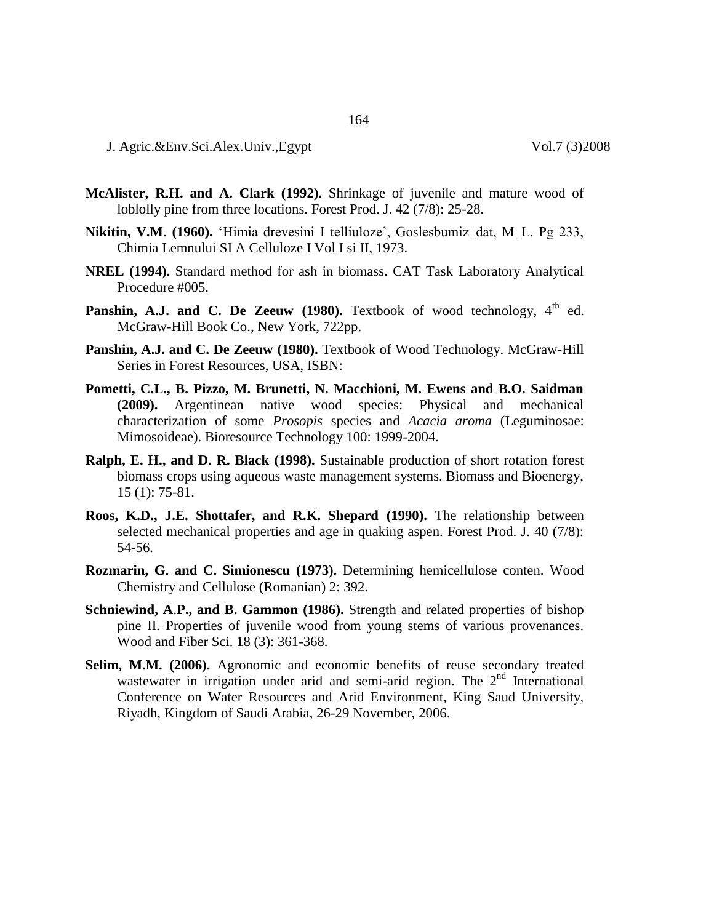- **McAlister, R.H. and A. Clark (1992).** Shrinkage of juvenile and mature wood of loblolly pine from three locations. Forest Prod. J. 42 (7/8): 25-28.
- **Nikitin, V.M**. **(1960).** 'Himia drevesini I telliuloze', Goslesbumiz\_dat, M\_L. Pg 233, Chimia Lemnului SI A Celluloze I Vol I si II, 1973.
- **NREL (1994).** Standard method for ash in biomass. CAT Task Laboratory Analytical Procedure #005.
- **Panshin, A.J. and C. De Zeeuw**  $(1980)$ **.** Textbook of wood technology,  $4<sup>th</sup>$  ed. McGraw-Hill Book Co., New York, 722pp.
- **Panshin, A.J. and C. De Zeeuw (1980).** Textbook of Wood Technology. McGraw-Hill Series in Forest Resources, USA, ISBN:
- **Pometti, C.L., B. Pizzo, M. Brunetti, N. Macchioni, M. Ewens and B.O. Saidman (2009).** Argentinean native wood species: Physical and mechanical characterization of some *Prosopis* species and *Acacia aroma* (Leguminosae: Mimosoideae). Bioresource Technology 100: 1999-2004.
- **Ralph, E. H., and D. R. Black (1998).** Sustainable production of short rotation forest biomass crops using aqueous waste management systems. Biomass and Bioenergy, 15 (1): 75-81.
- **Roos, K.D., J.E. Shottafer, and R.K. Shepard (1990).** The relationship between selected mechanical properties and age in quaking aspen. Forest Prod. J. 40 (7/8): 54-56.
- **Rozmarin, G. and C. Simionescu (1973).** Determining hemicellulose conten. Wood Chemistry and Cellulose (Romanian) 2: 392.
- **Schniewind, A**.**P., and B. Gammon (1986).** Strength and related properties of bishop pine II. Properties of juvenile wood from young stems of various provenances. Wood and Fiber Sci. 18 (3): 361-368.
- **Selim, M.M. (2006).** Agronomic and economic benefits of reuse secondary treated wastewater in irrigation under arid and semi-arid region. The 2<sup>nd</sup> International Conference on Water Resources and Arid Environment, King Saud University, Riyadh, Kingdom of Saudi Arabia, 26-29 November, 2006.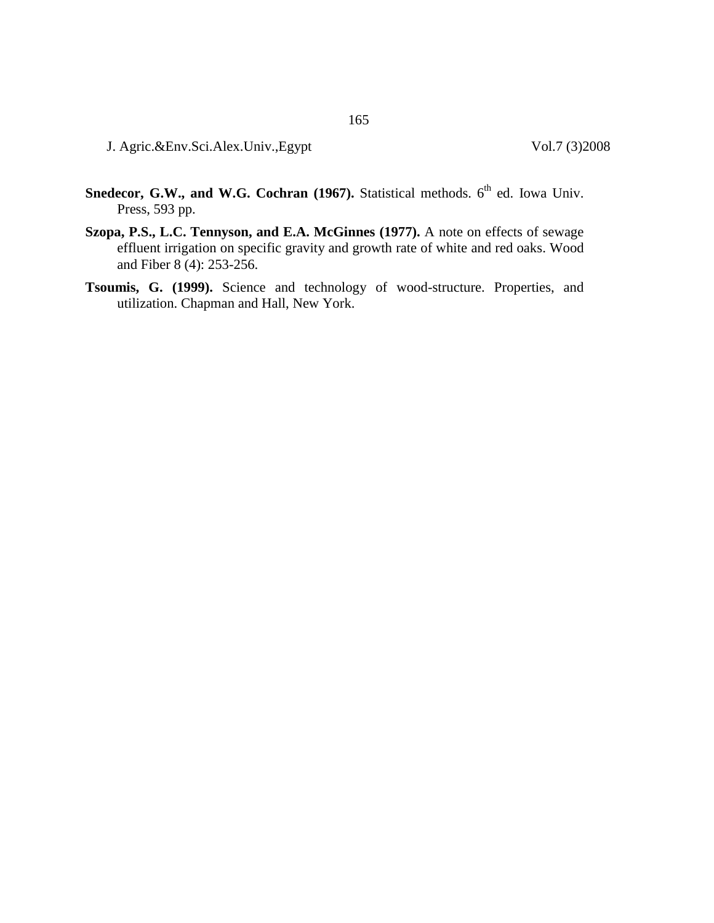- **Snedecor, G.W., and W.G. Cochran (1967).** Statistical methods. 6<sup>th</sup> ed. Iowa Univ. Press, 593 pp.
- **Szopa, P.S., L.C. Tennyson, and E.A. McGinnes (1977).** A note on effects of sewage effluent irrigation on specific gravity and growth rate of white and red oaks. Wood and Fiber 8 (4): 253-256.
- **Tsoumis, G. (1999).** Science and technology of wood-structure. Properties, and utilization. Chapman and Hall, New York.